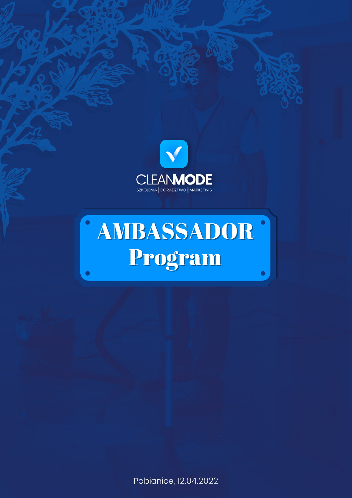

# AMBASSADOR  $\bullet$ Program

Pabianice, 12.04.2022